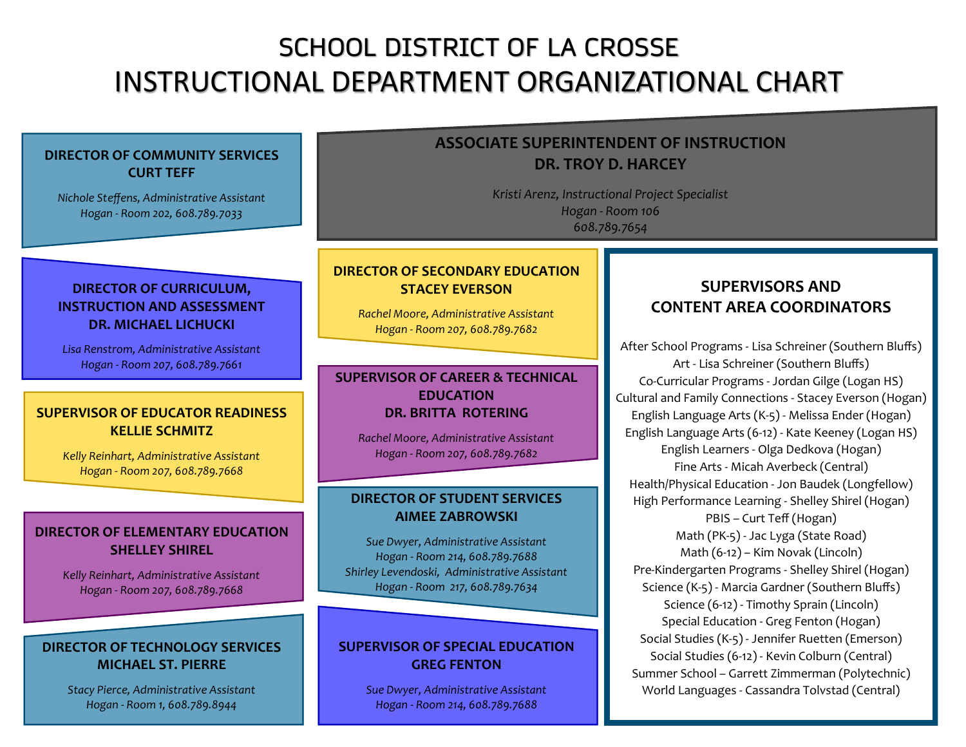## SCHOOL DISTRICT OF LA CROSSE INSTRUCTIONAL DEPARTMENT ORGANIZATIONAL CHART

## **SUPERVISORS AND CONTENT AREA COORDINATORS** After School Programs - Lisa Schreiner (Southern Bluffs) Art - Lisa Schreiner (Southern Bluffs) Co-Curricular Programs - Jordan Gilge (Logan HS) Cultural and Family Connections - Stacey Everson (Hogan) English Language Arts (K-5) - Melissa Ender (Hogan) English Language Arts (6-12) - Kate Keeney (Logan HS) English Learners - Olga Dedkova (Hogan) Fine Arts - Micah Averbeck (Central) Health/Physical Education - Jon Baudek (Longfellow) High Performance Learning - Shelley Shirel (Hogan) PBIS – Curt Teff (Hogan) Math (PK-5) - Jac Lyga (State Road) Math (6-12) – Kim Novak (Lincoln) Pre-Kindergarten Programs - Shelley Shirel (Hogan) Science (K-5) - Marcia Gardner (Southern Bluffs) Science (6-12) - Timothy Sprain (Lincoln) Special Education - Greg Fenton (Hogan) Social Studies (K-5) - Jennifer Ruetten (Emerson) Social Studies (6-12) - Kevin Colburn (Central) Summer School – Garrett Zimmerman (Polytechnic) World Languages - Cassandra Tolvstad (Central) **DIRECTOR OF STUDENT SERVICES AIMEE ZABROWSKI** *Sue Dwyer, Administrative Assistant Hogan - Room 214, 608.789.7688 Shirley Levendoski, Administrative Assistant Hogan - Room 217, 608.789.7634* **DIRECTOR OF ELEMENTARY EDUCATION SHELLEY SHIREL** *Kelly Reinhart, Administrative Assistant Hogan - Room 207, 608.789.7668* **DIRECTOR OF SECONDARY EDUCATION STACEY EVERSON** *Rachel Moore, Administrative Assistant Hogan - Room 207, 608.789.7682* **DIRECTOR OF CURRICULUM, INSTRUCTION AND ASSESSMENT DR. MICHAEL LICHUCKI** *Lisa Renstrom, Administrative Assistant Hogan - Room 207, 608.789.7661* **DIRECTOR OF TECHNOLOGY SERVICES MICHAEL ST. PIERRE** *Stacy Pierce, Administrative Assistant Hogan - Room 1, 608.789.8944* **DIRECTOR OF COMMUNITY SERVICES CURT TEFF** *Nichole Steffens, Administrative Assistant Hogan - Room 202, 608.789.7033* **ASSOCIATE SUPERINTENDENT OF INSTRUCTION DR. TROY D. HARCEY** *Kristi Arenz, Instructional Project Specialist Hogan - Room 106 608.789.7654* **SUPERVISOR OF SPECIAL EDUCATION GREG FENTON** *Sue Dwyer, Administrative Assistant Hogan - Room 214, 608.789.7688* **SUPERVISOR OF EDUCATOR READINESS KELLIE SCHMITZ** *Kelly Reinhart, Administrative Assistant Hogan - Room 207, 608.789.7668* **SUPERVISOR OF CAREER & TECHNICAL EDUCATION DR. BRITTA ROTERING** *Rachel Moore, Administrative Assistant Hogan - Room 207, 608.789.7682*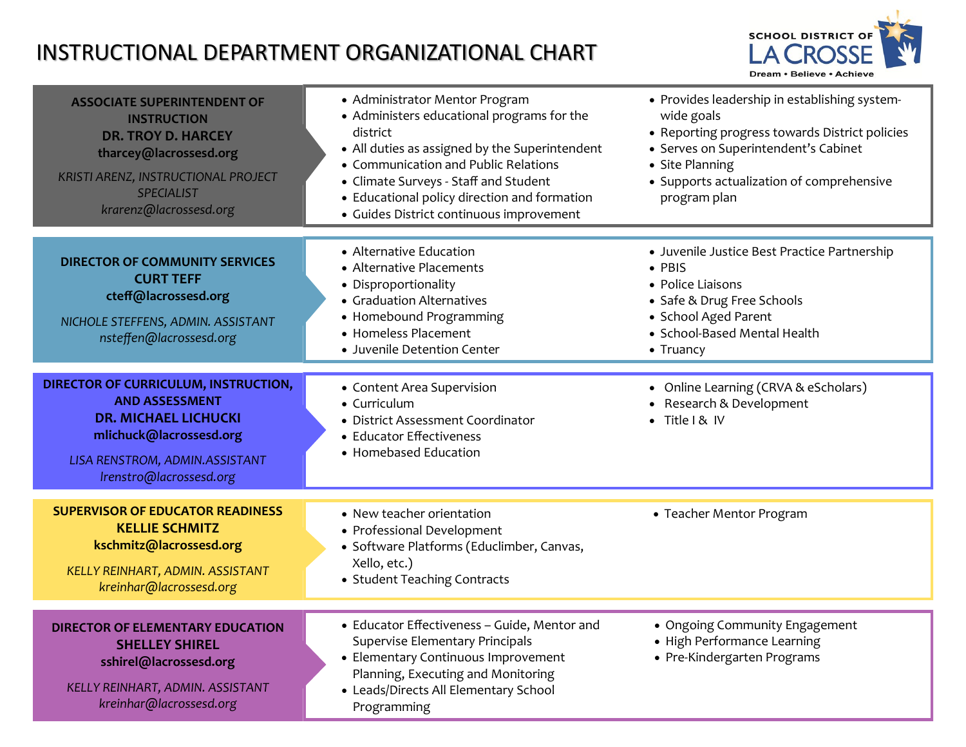## INSTRUCTIONAL DEPARTMENT ORGANIZATIONAL CHART



| <b>ASSOCIATE SUPERINTENDENT OF</b><br><b>INSTRUCTION</b><br><b>DR. TROY D. HARCEY</b><br>tharcey@lacrossesd.org<br>KRISTI ARENZ, INSTRUCTIONAL PROJECT<br><b>SPECIALIST</b><br>krarenz@lacrossesd.org | • Administrator Mentor Program<br>• Administers educational programs for the<br>district<br>• All duties as assigned by the Superintendent<br>• Communication and Public Relations<br>• Climate Surveys - Staff and Student<br>• Educational policy direction and formation<br>· Guides District continuous improvement | • Provides leadership in establishing system-<br>wide goals<br>• Reporting progress towards District policies<br>• Serves on Superintendent's Cabinet<br>• Site Planning<br>• Supports actualization of comprehensive<br>program plan |
|-------------------------------------------------------------------------------------------------------------------------------------------------------------------------------------------------------|-------------------------------------------------------------------------------------------------------------------------------------------------------------------------------------------------------------------------------------------------------------------------------------------------------------------------|---------------------------------------------------------------------------------------------------------------------------------------------------------------------------------------------------------------------------------------|
| <b>DIRECTOR OF COMMUNITY SERVICES</b><br><b>CURT TEFF</b><br>cteff@lacrossesd.org<br>NICHOLE STEFFENS, ADMIN. ASSISTANT<br>nsteffen@lacrossesd.org                                                    | • Alternative Education<br>• Alternative Placements<br>• Disproportionality<br>• Graduation Alternatives<br>• Homebound Programming<br>• Homeless Placement<br>• Juvenile Detention Center                                                                                                                              | · Juvenile Justice Best Practice Partnership<br>• PBIS<br>• Police Liaisons<br>• Safe & Drug Free Schools<br>• School Aged Parent<br>· School-Based Mental Health<br>$\bullet$ Truancy                                                |
| DIRECTOR OF CURRICULUM, INSTRUCTION,<br><b>AND ASSESSMENT</b><br><b>DR. MICHAEL LICHUCKI</b><br>mlichuck@lacrossesd.org<br>LISA RENSTROM, ADMIN.ASSISTANT<br>Irenstro@lacrossesd.org                  | • Content Area Supervision<br>• Curriculum<br>· District Assessment Coordinator<br>• Educator Effectiveness<br>• Homebased Education                                                                                                                                                                                    | • Online Learning (CRVA & eScholars)<br>• Research & Development<br>· Title I & IV                                                                                                                                                    |
| <b>SUPERVISOR OF EDUCATOR READINESS</b><br><b>KELLIE SCHMITZ</b><br>kschmitz@lacrossesd.org<br>KELLY REINHART, ADMIN. ASSISTANT<br>kreinhar@lacrossesd.org                                            | • New teacher orientation<br>• Professional Development<br>· Software Platforms (Educlimber, Canvas,<br>Xello, etc.)<br>• Student Teaching Contracts                                                                                                                                                                    | • Teacher Mentor Program                                                                                                                                                                                                              |
| <b>DIRECTOR OF ELEMENTARY EDUCATION</b><br><b>SHELLEY SHIREL</b><br>sshirel@lacrossesd.org<br>KELLY REINHART, ADMIN. ASSISTANT<br>kreinhar@lacrossesd.org                                             | • Educator Effectiveness - Guide, Mentor and<br>Supervise Elementary Principals<br>• Elementary Continuous Improvement<br>Planning, Executing and Monitoring<br>• Leads/Directs All Elementary School<br>Programming                                                                                                    | • Ongoing Community Engagement<br>• High Performance Learning<br>• Pre-Kindergarten Programs                                                                                                                                          |